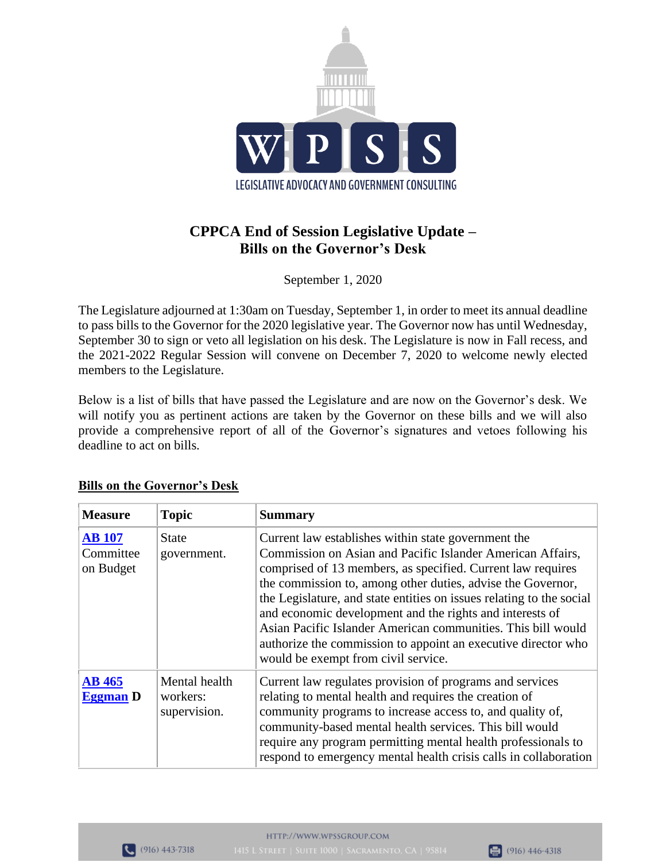

## **CPPCA End of Session Legislative Update – Bills on the Governor's Desk**

September 1, 2020

The Legislature adjourned at 1:30am on Tuesday, September 1, in order to meet its annual deadline to pass bills to the Governor for the 2020 legislative year. The Governor now has until Wednesday, September 30 to sign or veto all legislation on his desk. The Legislature is now in Fall recess, and the 2021-2022 Regular Session will convene on December 7, 2020 to welcome newly elected members to the Legislature.

Below is a list of bills that have passed the Legislature and are now on the Governor's desk. We will notify you as pertinent actions are taken by the Governor on these bills and we will also provide a comprehensive report of all of the Governor's signatures and vetoes following his deadline to act on bills.

| <b>Measure</b>                          | <b>Topic</b>                              | <b>Summary</b>                                                                                                                                                                                                                                                                                                                                                                                                                                                                                                                                              |
|-----------------------------------------|-------------------------------------------|-------------------------------------------------------------------------------------------------------------------------------------------------------------------------------------------------------------------------------------------------------------------------------------------------------------------------------------------------------------------------------------------------------------------------------------------------------------------------------------------------------------------------------------------------------------|
| <b>AB</b> 107<br>Committee<br>on Budget | <b>State</b><br>government.               | Current law establishes within state government the<br>Commission on Asian and Pacific Islander American Affairs,<br>comprised of 13 members, as specified. Current law requires<br>the commission to, among other duties, advise the Governor,<br>the Legislature, and state entities on issues relating to the social<br>and economic development and the rights and interests of<br>Asian Pacific Islander American communities. This bill would<br>authorize the commission to appoint an executive director who<br>would be exempt from civil service. |
| <b>AB</b> 465<br><b>Eggman</b> D        | Mental health<br>workers:<br>supervision. | Current law regulates provision of programs and services<br>relating to mental health and requires the creation of<br>community programs to increase access to, and quality of,<br>community-based mental health services. This bill would<br>require any program permitting mental health professionals to<br>respond to emergency mental health crisis calls in collaboration                                                                                                                                                                             |

## **Bills on the Governor's Desk**

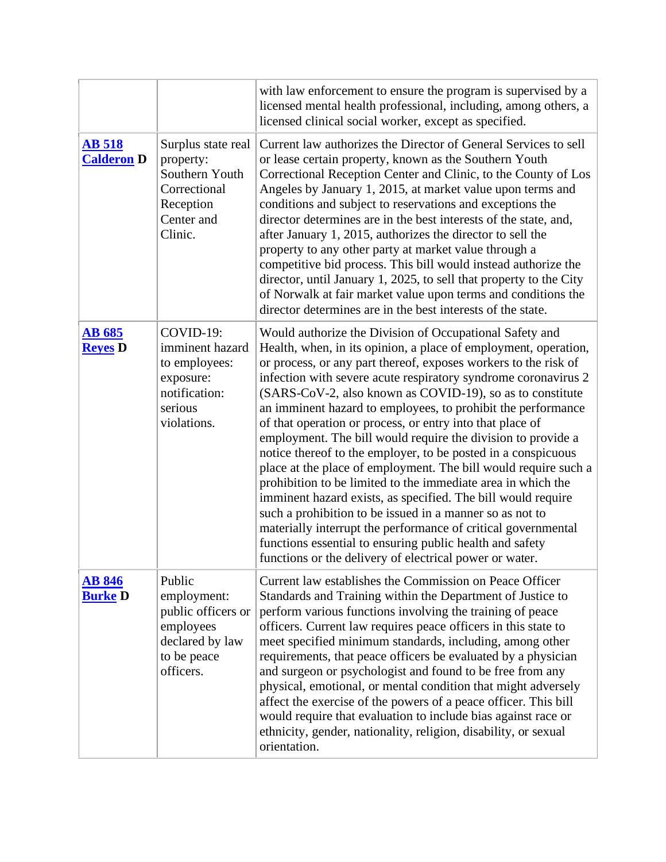|                                    |                                                                                                         | with law enforcement to ensure the program is supervised by a<br>licensed mental health professional, including, among others, a<br>licensed clinical social worker, except as specified.                                                                                                                                                                                                                                                                                                                                                                                                                                                                                                                                                                                                                                                                                                                                                                                                                                                         |
|------------------------------------|---------------------------------------------------------------------------------------------------------|---------------------------------------------------------------------------------------------------------------------------------------------------------------------------------------------------------------------------------------------------------------------------------------------------------------------------------------------------------------------------------------------------------------------------------------------------------------------------------------------------------------------------------------------------------------------------------------------------------------------------------------------------------------------------------------------------------------------------------------------------------------------------------------------------------------------------------------------------------------------------------------------------------------------------------------------------------------------------------------------------------------------------------------------------|
| <b>AB 518</b><br><b>Calderon D</b> | Surplus state real<br>property:<br>Southern Youth<br>Correctional<br>Reception<br>Center and<br>Clinic. | Current law authorizes the Director of General Services to sell<br>or lease certain property, known as the Southern Youth<br>Correctional Reception Center and Clinic, to the County of Los<br>Angeles by January 1, 2015, at market value upon terms and<br>conditions and subject to reservations and exceptions the<br>director determines are in the best interests of the state, and,<br>after January 1, 2015, authorizes the director to sell the<br>property to any other party at market value through a<br>competitive bid process. This bill would instead authorize the<br>director, until January 1, 2025, to sell that property to the City<br>of Norwalk at fair market value upon terms and conditions the<br>director determines are in the best interests of the state.                                                                                                                                                                                                                                                         |
| <b>AB 685</b><br><b>Reyes</b> D    | COVID-19:<br>imminent hazard<br>to employees:<br>exposure:<br>notification:<br>serious<br>violations.   | Would authorize the Division of Occupational Safety and<br>Health, when, in its opinion, a place of employment, operation,<br>or process, or any part thereof, exposes workers to the risk of<br>infection with severe acute respiratory syndrome coronavirus 2<br>(SARS-CoV-2, also known as COVID-19), so as to constitute<br>an imminent hazard to employees, to prohibit the performance<br>of that operation or process, or entry into that place of<br>employment. The bill would require the division to provide a<br>notice thereof to the employer, to be posted in a conspicuous<br>place at the place of employment. The bill would require such a<br>prohibition to be limited to the immediate area in which the<br>imminent hazard exists, as specified. The bill would require<br>such a prohibition to be issued in a manner so as not to<br>materially interrupt the performance of critical governmental<br>functions essential to ensuring public health and safety<br>functions or the delivery of electrical power or water. |
| <b>AB 846</b><br><b>Burke D</b>    | Public<br>employment:<br>public officers or<br>employees<br>declared by law<br>to be peace<br>officers. | Current law establishes the Commission on Peace Officer<br>Standards and Training within the Department of Justice to<br>perform various functions involving the training of peace<br>officers. Current law requires peace officers in this state to<br>meet specified minimum standards, including, among other<br>requirements, that peace officers be evaluated by a physician<br>and surgeon or psychologist and found to be free from any<br>physical, emotional, or mental condition that might adversely<br>affect the exercise of the powers of a peace officer. This bill<br>would require that evaluation to include bias against race or<br>ethnicity, gender, nationality, religion, disability, or sexual<br>orientation.                                                                                                                                                                                                                                                                                                            |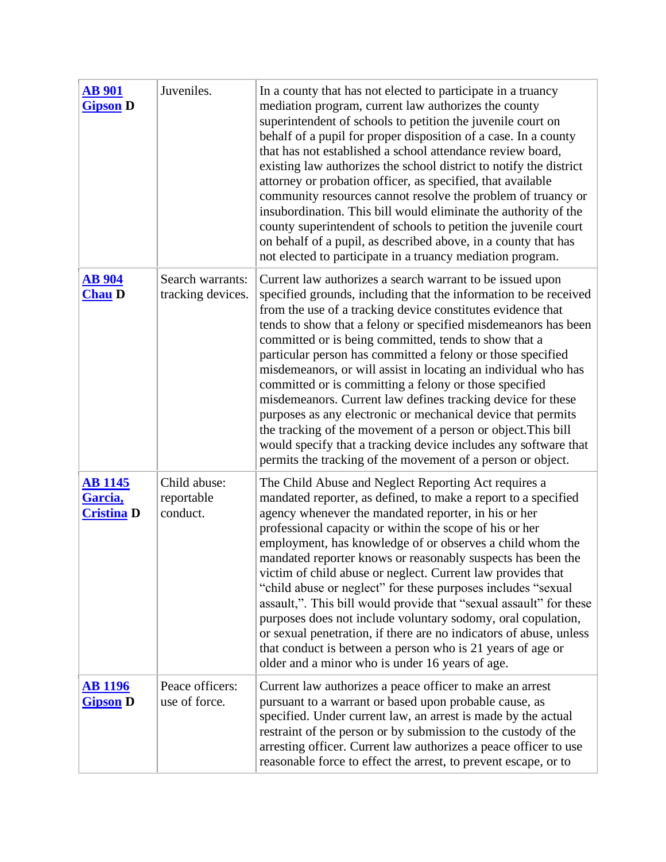| <b>AB 901</b><br><b>Gipson</b> D               | Juveniles.                             | In a county that has not elected to participate in a truancy<br>mediation program, current law authorizes the county<br>superintendent of schools to petition the juvenile court on<br>behalf of a pupil for proper disposition of a case. In a county<br>that has not established a school attendance review board,<br>existing law authorizes the school district to notify the district<br>attorney or probation officer, as specified, that available<br>community resources cannot resolve the problem of truancy or<br>insubordination. This bill would eliminate the authority of the<br>county superintendent of schools to petition the juvenile court<br>on behalf of a pupil, as described above, in a county that has<br>not elected to participate in a truancy mediation program.                                                      |
|------------------------------------------------|----------------------------------------|------------------------------------------------------------------------------------------------------------------------------------------------------------------------------------------------------------------------------------------------------------------------------------------------------------------------------------------------------------------------------------------------------------------------------------------------------------------------------------------------------------------------------------------------------------------------------------------------------------------------------------------------------------------------------------------------------------------------------------------------------------------------------------------------------------------------------------------------------|
| <b>AB</b> 904<br><b>Chau D</b>                 | Search warrants:<br>tracking devices.  | Current law authorizes a search warrant to be issued upon<br>specified grounds, including that the information to be received<br>from the use of a tracking device constitutes evidence that<br>tends to show that a felony or specified misdemeanors has been<br>committed or is being committed, tends to show that a<br>particular person has committed a felony or those specified<br>misdemeanors, or will assist in locating an individual who has<br>committed or is committing a felony or those specified<br>misdemeanors. Current law defines tracking device for these<br>purposes as any electronic or mechanical device that permits<br>the tracking of the movement of a person or object. This bill<br>would specify that a tracking device includes any software that<br>permits the tracking of the movement of a person or object. |
| <b>AB 1145</b><br>Garcia,<br><b>Cristina D</b> | Child abuse:<br>reportable<br>conduct. | The Child Abuse and Neglect Reporting Act requires a<br>mandated reporter, as defined, to make a report to a specified<br>agency whenever the mandated reporter, in his or her<br>professional capacity or within the scope of his or her<br>employment, has knowledge of or observes a child whom the<br>mandated reporter knows or reasonably suspects has been the<br>victim of child abuse or neglect. Current law provides that<br>"child abuse or neglect" for these purposes includes "sexual"<br>assault,". This bill would provide that "sexual assault" for these<br>purposes does not include voluntary sodomy, oral copulation,<br>or sexual penetration, if there are no indicators of abuse, unless<br>that conduct is between a person who is 21 years of age or<br>older and a minor who is under 16 years of age.                   |
| <u>AB 1196</u><br><b>Gipson D</b>              | Peace officers:<br>use of force.       | Current law authorizes a peace officer to make an arrest<br>pursuant to a warrant or based upon probable cause, as<br>specified. Under current law, an arrest is made by the actual<br>restraint of the person or by submission to the custody of the<br>arresting officer. Current law authorizes a peace officer to use<br>reasonable force to effect the arrest, to prevent escape, or to                                                                                                                                                                                                                                                                                                                                                                                                                                                         |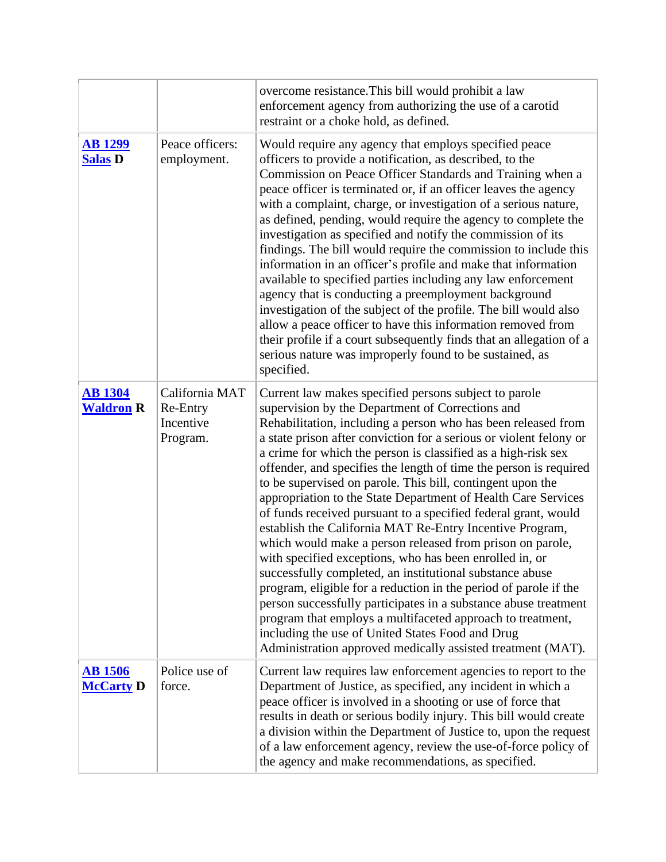|                                    |                                                     | overcome resistance. This bill would prohibit a law<br>enforcement agency from authorizing the use of a carotid<br>restraint or a choke hold, as defined.                                                                                                                                                                                                                                                                                                                                                                                                                                                                                                                                                                                                                                                                                                                                                                                                                                                                                                                                                                                                       |
|------------------------------------|-----------------------------------------------------|-----------------------------------------------------------------------------------------------------------------------------------------------------------------------------------------------------------------------------------------------------------------------------------------------------------------------------------------------------------------------------------------------------------------------------------------------------------------------------------------------------------------------------------------------------------------------------------------------------------------------------------------------------------------------------------------------------------------------------------------------------------------------------------------------------------------------------------------------------------------------------------------------------------------------------------------------------------------------------------------------------------------------------------------------------------------------------------------------------------------------------------------------------------------|
| <b>AB1299</b><br><b>Salas D</b>    | Peace officers:<br>employment.                      | Would require any agency that employs specified peace<br>officers to provide a notification, as described, to the<br>Commission on Peace Officer Standards and Training when a<br>peace officer is terminated or, if an officer leaves the agency<br>with a complaint, charge, or investigation of a serious nature,<br>as defined, pending, would require the agency to complete the<br>investigation as specified and notify the commission of its<br>findings. The bill would require the commission to include this<br>information in an officer's profile and make that information<br>available to specified parties including any law enforcement<br>agency that is conducting a preemployment background<br>investigation of the subject of the profile. The bill would also<br>allow a peace officer to have this information removed from<br>their profile if a court subsequently finds that an allegation of a<br>serious nature was improperly found to be sustained, as<br>specified.                                                                                                                                                             |
| <b>AB</b> 1304<br><b>Waldron R</b> | California MAT<br>Re-Entry<br>Incentive<br>Program. | Current law makes specified persons subject to parole<br>supervision by the Department of Corrections and<br>Rehabilitation, including a person who has been released from<br>a state prison after conviction for a serious or violent felony or<br>a crime for which the person is classified as a high-risk sex<br>offender, and specifies the length of time the person is required<br>to be supervised on parole. This bill, contingent upon the<br>appropriation to the State Department of Health Care Services<br>of funds received pursuant to a specified federal grant, would<br>establish the California MAT Re-Entry Incentive Program,<br>which would make a person released from prison on parole,<br>with specified exceptions, who has been enrolled in, or<br>successfully completed, an institutional substance abuse<br>program, eligible for a reduction in the period of parole if the<br>person successfully participates in a substance abuse treatment<br>program that employs a multifaceted approach to treatment,<br>including the use of United States Food and Drug<br>Administration approved medically assisted treatment (MAT). |
| <u>AB 1506</u><br><b>McCarty D</b> | Police use of<br>force.                             | Current law requires law enforcement agencies to report to the<br>Department of Justice, as specified, any incident in which a<br>peace officer is involved in a shooting or use of force that<br>results in death or serious bodily injury. This bill would create<br>a division within the Department of Justice to, upon the request<br>of a law enforcement agency, review the use-of-force policy of<br>the agency and make recommendations, as specified.                                                                                                                                                                                                                                                                                                                                                                                                                                                                                                                                                                                                                                                                                                 |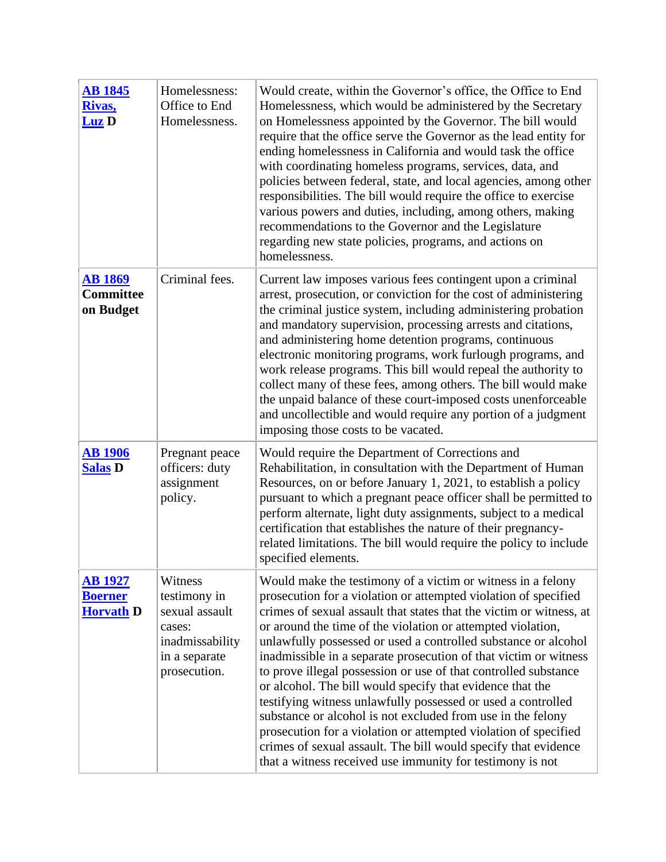| <b>AB 1845</b><br>Rivas,<br>Luz D                    | Homelessness:<br>Office to End<br>Homelessness.                                                         | Would create, within the Governor's office, the Office to End<br>Homelessness, which would be administered by the Secretary<br>on Homelessness appointed by the Governor. The bill would<br>require that the office serve the Governor as the lead entity for<br>ending homelessness in California and would task the office<br>with coordinating homeless programs, services, data, and<br>policies between federal, state, and local agencies, among other<br>responsibilities. The bill would require the office to exercise<br>various powers and duties, including, among others, making<br>recommendations to the Governor and the Legislature<br>regarding new state policies, programs, and actions on<br>homelessness.                                                                                                                                             |
|------------------------------------------------------|---------------------------------------------------------------------------------------------------------|-----------------------------------------------------------------------------------------------------------------------------------------------------------------------------------------------------------------------------------------------------------------------------------------------------------------------------------------------------------------------------------------------------------------------------------------------------------------------------------------------------------------------------------------------------------------------------------------------------------------------------------------------------------------------------------------------------------------------------------------------------------------------------------------------------------------------------------------------------------------------------|
| <b>AB 1869</b><br><b>Committee</b><br>on Budget      | Criminal fees.                                                                                          | Current law imposes various fees contingent upon a criminal<br>arrest, prosecution, or conviction for the cost of administering<br>the criminal justice system, including administering probation<br>and mandatory supervision, processing arrests and citations,<br>and administering home detention programs, continuous<br>electronic monitoring programs, work furlough programs, and<br>work release programs. This bill would repeal the authority to<br>collect many of these fees, among others. The bill would make<br>the unpaid balance of these court-imposed costs unenforceable<br>and uncollectible and would require any portion of a judgment<br>imposing those costs to be vacated.                                                                                                                                                                       |
| <b>AB 1906</b><br><b>Salas D</b>                     | Pregnant peace<br>officers: duty<br>assignment<br>policy.                                               | Would require the Department of Corrections and<br>Rehabilitation, in consultation with the Department of Human<br>Resources, on or before January 1, 2021, to establish a policy<br>pursuant to which a pregnant peace officer shall be permitted to<br>perform alternate, light duty assignments, subject to a medical<br>certification that establishes the nature of their pregnancy-<br>related limitations. The bill would require the policy to include<br>specified elements.                                                                                                                                                                                                                                                                                                                                                                                       |
| <b>AB 1927</b><br><b>Boerner</b><br><b>Horvath D</b> | Witness<br>testimony in<br>sexual assault<br>cases:<br>inadmissability<br>in a separate<br>prosecution. | Would make the testimony of a victim or witness in a felony<br>prosecution for a violation or attempted violation of specified<br>crimes of sexual assault that states that the victim or witness, at<br>or around the time of the violation or attempted violation,<br>unlawfully possessed or used a controlled substance or alcohol<br>inadmissible in a separate prosecution of that victim or witness<br>to prove illegal possession or use of that controlled substance<br>or alcohol. The bill would specify that evidence that the<br>testifying witness unlawfully possessed or used a controlled<br>substance or alcohol is not excluded from use in the felony<br>prosecution for a violation or attempted violation of specified<br>crimes of sexual assault. The bill would specify that evidence<br>that a witness received use immunity for testimony is not |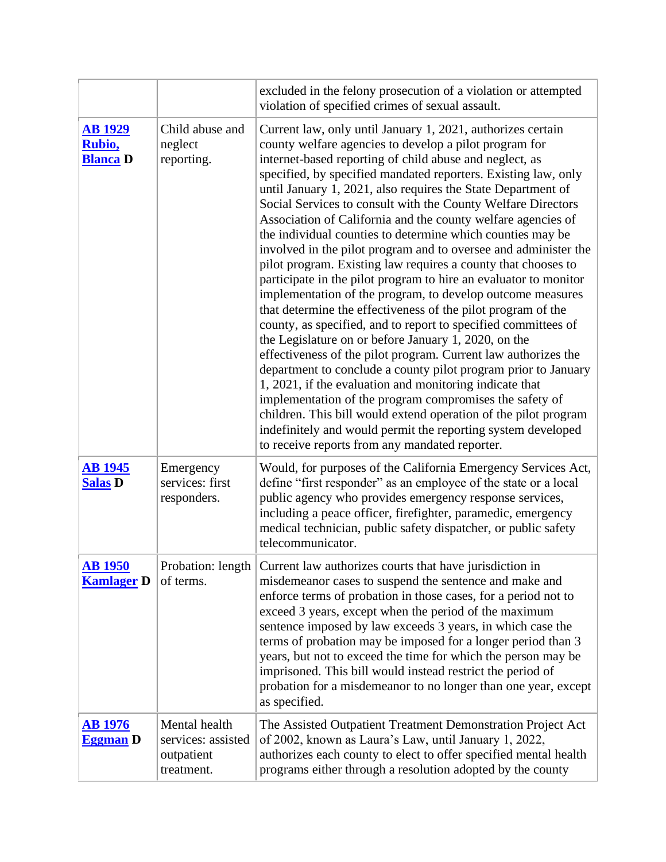|                                             |                                                                 | excluded in the felony prosecution of a violation or attempted<br>violation of specified crimes of sexual assault.                                                                                                                                                                                                                                                                                                                                                                                                                                                                                                                                                                                                                                                                                                                                                                                                                                                                                                                                                                                                                                                                                                                                                                                                                                                                                                              |
|---------------------------------------------|-----------------------------------------------------------------|---------------------------------------------------------------------------------------------------------------------------------------------------------------------------------------------------------------------------------------------------------------------------------------------------------------------------------------------------------------------------------------------------------------------------------------------------------------------------------------------------------------------------------------------------------------------------------------------------------------------------------------------------------------------------------------------------------------------------------------------------------------------------------------------------------------------------------------------------------------------------------------------------------------------------------------------------------------------------------------------------------------------------------------------------------------------------------------------------------------------------------------------------------------------------------------------------------------------------------------------------------------------------------------------------------------------------------------------------------------------------------------------------------------------------------|
| <b>AB 1929</b><br>Rubio,<br><b>Blanca</b> D | Child abuse and<br>neglect<br>reporting.                        | Current law, only until January 1, 2021, authorizes certain<br>county welfare agencies to develop a pilot program for<br>internet-based reporting of child abuse and neglect, as<br>specified, by specified mandated reporters. Existing law, only<br>until January 1, 2021, also requires the State Department of<br>Social Services to consult with the County Welfare Directors<br>Association of California and the county welfare agencies of<br>the individual counties to determine which counties may be<br>involved in the pilot program and to oversee and administer the<br>pilot program. Existing law requires a county that chooses to<br>participate in the pilot program to hire an evaluator to monitor<br>implementation of the program, to develop outcome measures<br>that determine the effectiveness of the pilot program of the<br>county, as specified, and to report to specified committees of<br>the Legislature on or before January 1, 2020, on the<br>effectiveness of the pilot program. Current law authorizes the<br>department to conclude a county pilot program prior to January<br>1, 2021, if the evaluation and monitoring indicate that<br>implementation of the program compromises the safety of<br>children. This bill would extend operation of the pilot program<br>indefinitely and would permit the reporting system developed<br>to receive reports from any mandated reporter. |
| <b>AB 1945</b><br><b>Salas D</b>            | Emergency<br>services: first<br>responders.                     | Would, for purposes of the California Emergency Services Act,<br>define "first responder" as an employee of the state or a local<br>public agency who provides emergency response services,<br>including a peace officer, firefighter, paramedic, emergency<br>medical technician, public safety dispatcher, or public safety<br>telecommunicator.                                                                                                                                                                                                                                                                                                                                                                                                                                                                                                                                                                                                                                                                                                                                                                                                                                                                                                                                                                                                                                                                              |
| <b>AB 1950</b><br><b>Kamlager D</b>         | of terms.                                                       | Probation: length   Current law authorizes courts that have jurisdiction in<br>misdemeanor cases to suspend the sentence and make and<br>enforce terms of probation in those cases, for a period not to<br>exceed 3 years, except when the period of the maximum<br>sentence imposed by law exceeds 3 years, in which case the<br>terms of probation may be imposed for a longer period than 3<br>years, but not to exceed the time for which the person may be<br>imprisoned. This bill would instead restrict the period of<br>probation for a misdemeanor to no longer than one year, except<br>as specified.                                                                                                                                                                                                                                                                                                                                                                                                                                                                                                                                                                                                                                                                                                                                                                                                                |
| <u>AB 1976</u><br><b>Eggman</b> D           | Mental health<br>services: assisted<br>outpatient<br>treatment. | The Assisted Outpatient Treatment Demonstration Project Act<br>of 2002, known as Laura's Law, until January 1, 2022,<br>authorizes each county to elect to offer specified mental health<br>programs either through a resolution adopted by the county                                                                                                                                                                                                                                                                                                                                                                                                                                                                                                                                                                                                                                                                                                                                                                                                                                                                                                                                                                                                                                                                                                                                                                          |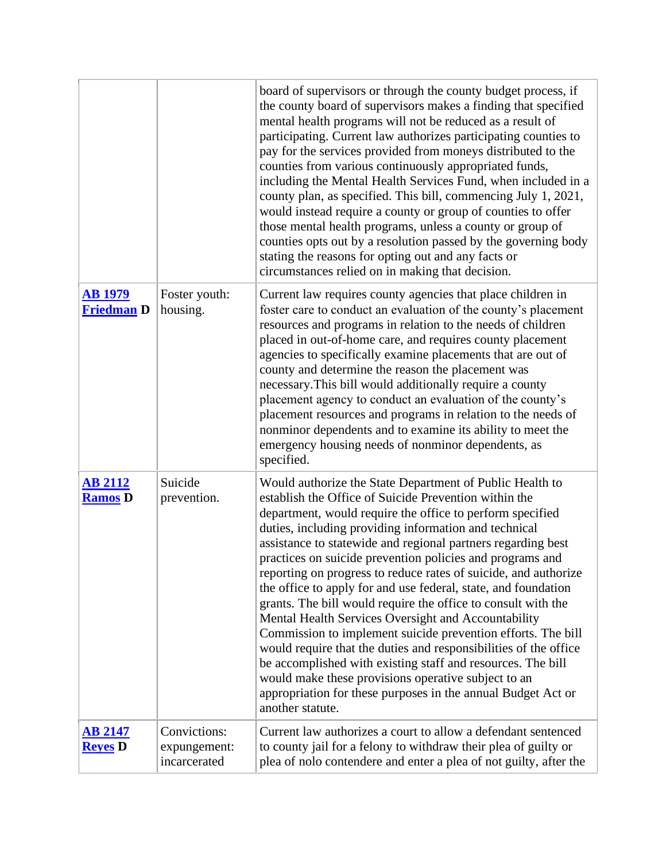|                                     |                                              | board of supervisors or through the county budget process, if<br>the county board of supervisors makes a finding that specified<br>mental health programs will not be reduced as a result of<br>participating. Current law authorizes participating counties to<br>pay for the services provided from moneys distributed to the<br>counties from various continuously appropriated funds,<br>including the Mental Health Services Fund, when included in a<br>county plan, as specified. This bill, commencing July 1, 2021,<br>would instead require a county or group of counties to offer<br>those mental health programs, unless a county or group of<br>counties opts out by a resolution passed by the governing body<br>stating the reasons for opting out and any facts or<br>circumstances relied on in making that decision.                                                                                                                                          |
|-------------------------------------|----------------------------------------------|---------------------------------------------------------------------------------------------------------------------------------------------------------------------------------------------------------------------------------------------------------------------------------------------------------------------------------------------------------------------------------------------------------------------------------------------------------------------------------------------------------------------------------------------------------------------------------------------------------------------------------------------------------------------------------------------------------------------------------------------------------------------------------------------------------------------------------------------------------------------------------------------------------------------------------------------------------------------------------|
| <b>AB 1979</b><br><b>Friedman D</b> | Foster youth:<br>housing.                    | Current law requires county agencies that place children in<br>foster care to conduct an evaluation of the county's placement<br>resources and programs in relation to the needs of children<br>placed in out-of-home care, and requires county placement<br>agencies to specifically examine placements that are out of<br>county and determine the reason the placement was<br>necessary. This bill would additionally require a county<br>placement agency to conduct an evaluation of the county's<br>placement resources and programs in relation to the needs of<br>nonminor dependents and to examine its ability to meet the<br>emergency housing needs of nonminor dependents, as<br>specified.                                                                                                                                                                                                                                                                        |
| <b>AB 2112</b><br><b>Ramos D</b>    | Suicide<br>prevention.                       | Would authorize the State Department of Public Health to<br>establish the Office of Suicide Prevention within the<br>department, would require the office to perform specified<br>duties, including providing information and technical<br>assistance to statewide and regional partners regarding best<br>practices on suicide prevention policies and programs and<br>reporting on progress to reduce rates of suicide, and authorize<br>the office to apply for and use federal, state, and foundation<br>grants. The bill would require the office to consult with the<br>Mental Health Services Oversight and Accountability<br>Commission to implement suicide prevention efforts. The bill<br>would require that the duties and responsibilities of the office<br>be accomplished with existing staff and resources. The bill<br>would make these provisions operative subject to an<br>appropriation for these purposes in the annual Budget Act or<br>another statute. |
| <b>AB 2147</b><br><b>Reyes</b> D    | Convictions:<br>expungement:<br>incarcerated | Current law authorizes a court to allow a defendant sentenced<br>to county jail for a felony to withdraw their plea of guilty or<br>plea of nolo contendere and enter a plea of not guilty, after the                                                                                                                                                                                                                                                                                                                                                                                                                                                                                                                                                                                                                                                                                                                                                                           |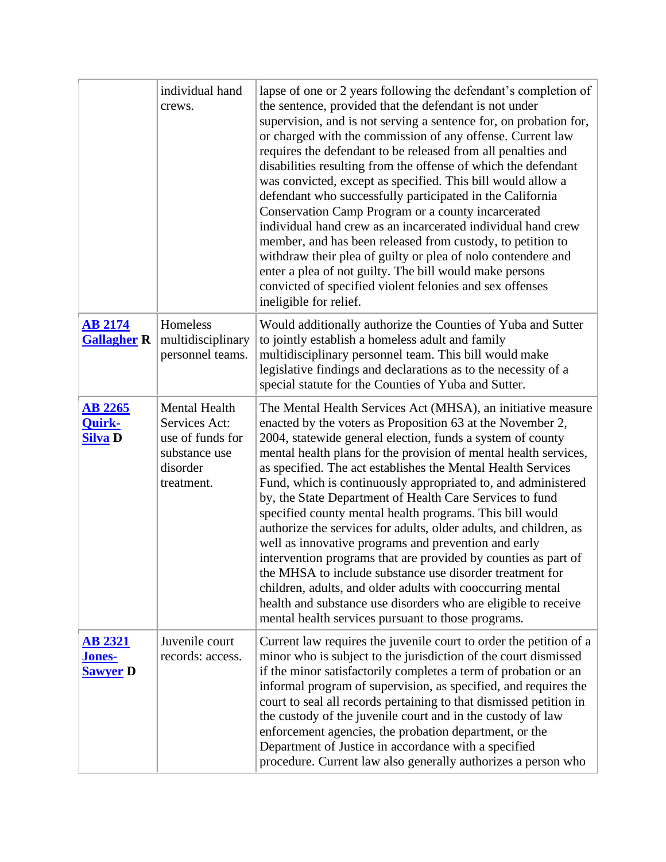|                                                    | individual hand<br>crews.                                                                     | lapse of one or 2 years following the defendant's completion of<br>the sentence, provided that the defendant is not under<br>supervision, and is not serving a sentence for, on probation for,<br>or charged with the commission of any offense. Current law<br>requires the defendant to be released from all penalties and<br>disabilities resulting from the offense of which the defendant<br>was convicted, except as specified. This bill would allow a<br>defendant who successfully participated in the California<br>Conservation Camp Program or a county incarcerated<br>individual hand crew as an incarcerated individual hand crew<br>member, and has been released from custody, to petition to<br>withdraw their plea of guilty or plea of nolo contendere and<br>enter a plea of not guilty. The bill would make persons<br>convicted of specified violent felonies and sex offenses<br>ineligible for relief.                                        |
|----------------------------------------------------|-----------------------------------------------------------------------------------------------|------------------------------------------------------------------------------------------------------------------------------------------------------------------------------------------------------------------------------------------------------------------------------------------------------------------------------------------------------------------------------------------------------------------------------------------------------------------------------------------------------------------------------------------------------------------------------------------------------------------------------------------------------------------------------------------------------------------------------------------------------------------------------------------------------------------------------------------------------------------------------------------------------------------------------------------------------------------------|
| <u>AB 2174</u><br><b>Gallagher R</b>               | Homeless<br>multidisciplinary<br>personnel teams.                                             | Would additionally authorize the Counties of Yuba and Sutter<br>to jointly establish a homeless adult and family<br>multidisciplinary personnel team. This bill would make<br>legislative findings and declarations as to the necessity of a<br>special statute for the Counties of Yuba and Sutter.                                                                                                                                                                                                                                                                                                                                                                                                                                                                                                                                                                                                                                                                   |
| <b>AB 2265</b><br><b>Quirk-</b><br>Silva D         | Mental Health<br>Services Act:<br>use of funds for<br>substance use<br>disorder<br>treatment. | The Mental Health Services Act (MHSA), an initiative measure<br>enacted by the voters as Proposition 63 at the November 2,<br>2004, statewide general election, funds a system of county<br>mental health plans for the provision of mental health services,<br>as specified. The act establishes the Mental Health Services<br>Fund, which is continuously appropriated to, and administered<br>by, the State Department of Health Care Services to fund<br>specified county mental health programs. This bill would<br>authorize the services for adults, older adults, and children, as<br>well as innovative programs and prevention and early<br>intervention programs that are provided by counties as part of<br>the MHSA to include substance use disorder treatment for<br>children, adults, and older adults with cooccurring mental<br>health and substance use disorders who are eligible to receive<br>mental health services pursuant to those programs. |
| <b>AB 2321</b><br><u>Jones-</u><br><b>Sawver</b> D | Juvenile court<br>records: access.                                                            | Current law requires the juvenile court to order the petition of a<br>minor who is subject to the jurisdiction of the court dismissed<br>if the minor satisfactorily completes a term of probation or an<br>informal program of supervision, as specified, and requires the<br>court to seal all records pertaining to that dismissed petition in<br>the custody of the juvenile court and in the custody of law<br>enforcement agencies, the probation department, or the<br>Department of Justice in accordance with a specified<br>procedure. Current law also generally authorizes a person who                                                                                                                                                                                                                                                                                                                                                                    |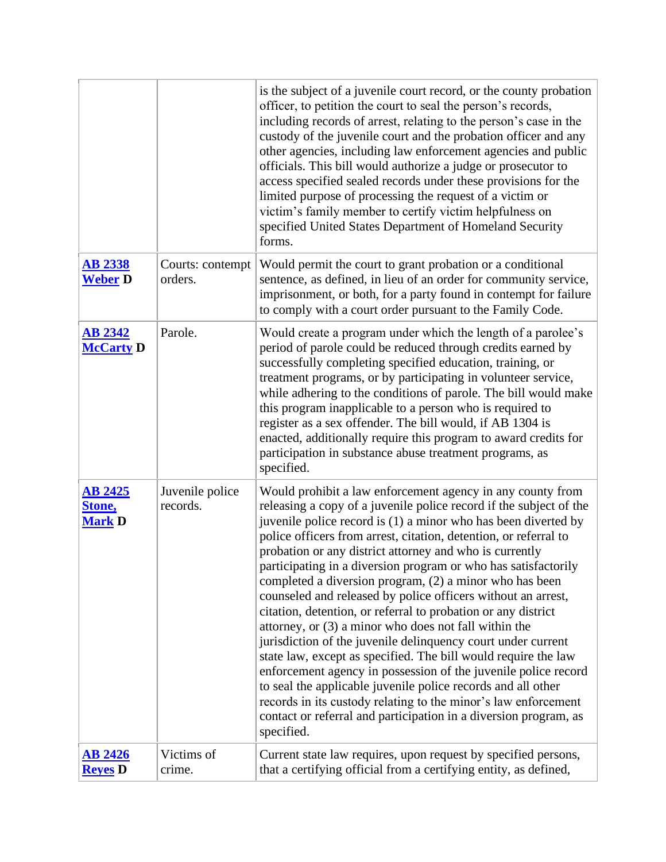|                                           |                             | is the subject of a juvenile court record, or the county probation<br>officer, to petition the court to seal the person's records,<br>including records of arrest, relating to the person's case in the<br>custody of the juvenile court and the probation officer and any<br>other agencies, including law enforcement agencies and public<br>officials. This bill would authorize a judge or prosecutor to<br>access specified sealed records under these provisions for the<br>limited purpose of processing the request of a victim or<br>victim's family member to certify victim helpfulness on<br>specified United States Department of Homeland Security<br>forms.                                                                                                                                                                                                                                                                                                                                                                                                       |
|-------------------------------------------|-----------------------------|----------------------------------------------------------------------------------------------------------------------------------------------------------------------------------------------------------------------------------------------------------------------------------------------------------------------------------------------------------------------------------------------------------------------------------------------------------------------------------------------------------------------------------------------------------------------------------------------------------------------------------------------------------------------------------------------------------------------------------------------------------------------------------------------------------------------------------------------------------------------------------------------------------------------------------------------------------------------------------------------------------------------------------------------------------------------------------|
| <b>AB 2338</b><br><b>Weber D</b>          | Courts: contempt<br>orders. | Would permit the court to grant probation or a conditional<br>sentence, as defined, in lieu of an order for community service,<br>imprisonment, or both, for a party found in contempt for failure<br>to comply with a court order pursuant to the Family Code.                                                                                                                                                                                                                                                                                                                                                                                                                                                                                                                                                                                                                                                                                                                                                                                                                  |
| <b>AB 2342</b><br><b>McCarty D</b>        | Parole.                     | Would create a program under which the length of a parolee's<br>period of parole could be reduced through credits earned by<br>successfully completing specified education, training, or<br>treatment programs, or by participating in volunteer service,<br>while adhering to the conditions of parole. The bill would make<br>this program inapplicable to a person who is required to<br>register as a sex offender. The bill would, if AB 1304 is<br>enacted, additionally require this program to award credits for<br>participation in substance abuse treatment programs, as<br>specified.                                                                                                                                                                                                                                                                                                                                                                                                                                                                                |
| <b>AB 2425</b><br>Stone,<br><b>Mark D</b> | Juvenile police<br>records. | Would prohibit a law enforcement agency in any county from<br>releasing a copy of a juvenile police record if the subject of the<br>juvenile police record is (1) a minor who has been diverted by<br>police officers from arrest, citation, detention, or referral to<br>probation or any district attorney and who is currently<br>participating in a diversion program or who has satisfactorily<br>completed a diversion program, (2) a minor who has been<br>counseled and released by police officers without an arrest,<br>citation, detention, or referral to probation or any district<br>attorney, or (3) a minor who does not fall within the<br>jurisdiction of the juvenile delinquency court under current<br>state law, except as specified. The bill would require the law<br>enforcement agency in possession of the juvenile police record<br>to seal the applicable juvenile police records and all other<br>records in its custody relating to the minor's law enforcement<br>contact or referral and participation in a diversion program, as<br>specified. |
| <b>AB 2426</b><br><b>Reyes</b> D          | Victims of<br>crime.        | Current state law requires, upon request by specified persons,<br>that a certifying official from a certifying entity, as defined,                                                                                                                                                                                                                                                                                                                                                                                                                                                                                                                                                                                                                                                                                                                                                                                                                                                                                                                                               |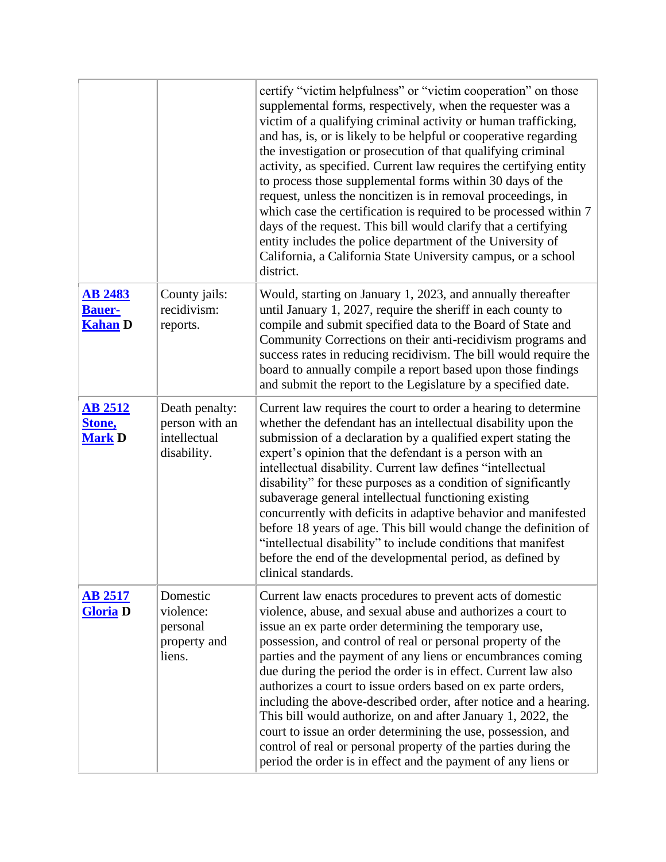|                                                   |                                                                 | certify "victim helpfulness" or "victim cooperation" on those<br>supplemental forms, respectively, when the requester was a<br>victim of a qualifying criminal activity or human trafficking,<br>and has, is, or is likely to be helpful or cooperative regarding<br>the investigation or prosecution of that qualifying criminal<br>activity, as specified. Current law requires the certifying entity<br>to process those supplemental forms within 30 days of the<br>request, unless the noncitizen is in removal proceedings, in<br>which case the certification is required to be processed within 7<br>days of the request. This bill would clarify that a certifying<br>entity includes the police department of the University of<br>California, a California State University campus, or a school<br>district. |
|---------------------------------------------------|-----------------------------------------------------------------|-------------------------------------------------------------------------------------------------------------------------------------------------------------------------------------------------------------------------------------------------------------------------------------------------------------------------------------------------------------------------------------------------------------------------------------------------------------------------------------------------------------------------------------------------------------------------------------------------------------------------------------------------------------------------------------------------------------------------------------------------------------------------------------------------------------------------|
| <b>AB 2483</b><br><b>Bauer-</b><br><b>Kahan</b> D | County jails:<br>recidivism:<br>reports.                        | Would, starting on January 1, 2023, and annually thereafter<br>until January 1, 2027, require the sheriff in each county to<br>compile and submit specified data to the Board of State and<br>Community Corrections on their anti-recidivism programs and<br>success rates in reducing recidivism. The bill would require the<br>board to annually compile a report based upon those findings<br>and submit the report to the Legislature by a specified date.                                                                                                                                                                                                                                                                                                                                                          |
| <b>AB 2512</b><br>Stone,<br><b>Mark D</b>         | Death penalty:<br>person with an<br>intellectual<br>disability. | Current law requires the court to order a hearing to determine<br>whether the defendant has an intellectual disability upon the<br>submission of a declaration by a qualified expert stating the<br>expert's opinion that the defendant is a person with an<br>intellectual disability. Current law defines "intellectual<br>disability" for these purposes as a condition of significantly<br>subaverage general intellectual functioning existing<br>concurrently with deficits in adaptive behavior and manifested<br>before 18 years of age. This bill would change the definition of<br>"intellectual disability" to include conditions that manifest<br>before the end of the developmental period, as defined by<br>clinical standards.                                                                          |
| <b>AB 2517</b><br><b>Gloria D</b>                 | Domestic<br>violence:<br>personal<br>property and<br>liens.     | Current law enacts procedures to prevent acts of domestic<br>violence, abuse, and sexual abuse and authorizes a court to<br>issue an ex parte order determining the temporary use,<br>possession, and control of real or personal property of the<br>parties and the payment of any liens or encumbrances coming<br>due during the period the order is in effect. Current law also<br>authorizes a court to issue orders based on ex parte orders,<br>including the above-described order, after notice and a hearing.<br>This bill would authorize, on and after January 1, 2022, the<br>court to issue an order determining the use, possession, and<br>control of real or personal property of the parties during the<br>period the order is in effect and the payment of any liens or                               |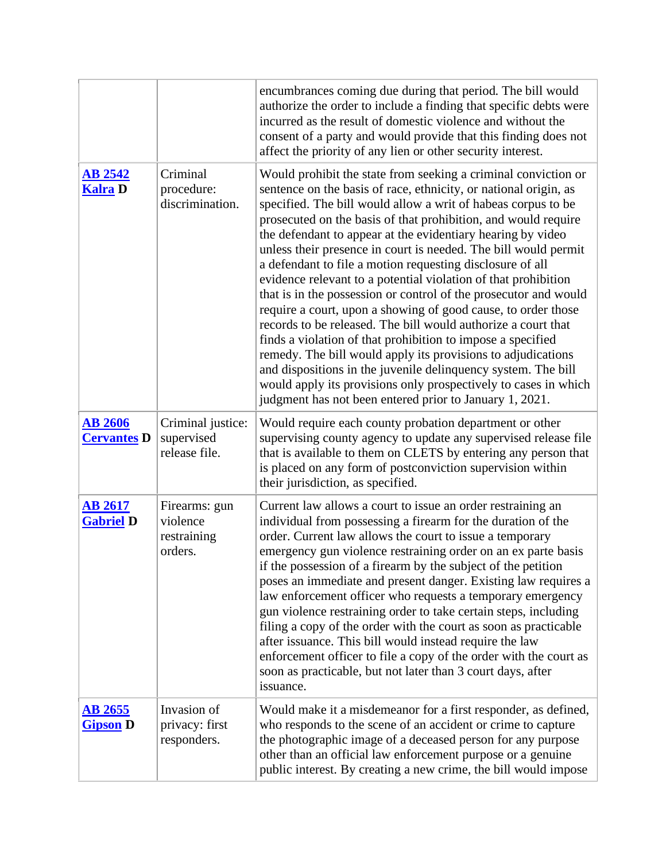|                                      |                                                     | encumbrances coming due during that period. The bill would<br>authorize the order to include a finding that specific debts were<br>incurred as the result of domestic violence and without the<br>consent of a party and would provide that this finding does not<br>affect the priority of any lien or other security interest.                                                                                                                                                                                                                                                                                                                                                                                                                                                                                                                                                                                                                                                                                                                                           |
|--------------------------------------|-----------------------------------------------------|----------------------------------------------------------------------------------------------------------------------------------------------------------------------------------------------------------------------------------------------------------------------------------------------------------------------------------------------------------------------------------------------------------------------------------------------------------------------------------------------------------------------------------------------------------------------------------------------------------------------------------------------------------------------------------------------------------------------------------------------------------------------------------------------------------------------------------------------------------------------------------------------------------------------------------------------------------------------------------------------------------------------------------------------------------------------------|
| <b>AB 2542</b><br><b>Kalra D</b>     | Criminal<br>procedure:<br>discrimination.           | Would prohibit the state from seeking a criminal conviction or<br>sentence on the basis of race, ethnicity, or national origin, as<br>specified. The bill would allow a writ of habeas corpus to be<br>prosecuted on the basis of that prohibition, and would require<br>the defendant to appear at the evidentiary hearing by video<br>unless their presence in court is needed. The bill would permit<br>a defendant to file a motion requesting disclosure of all<br>evidence relevant to a potential violation of that prohibition<br>that is in the possession or control of the prosecutor and would<br>require a court, upon a showing of good cause, to order those<br>records to be released. The bill would authorize a court that<br>finds a violation of that prohibition to impose a specified<br>remedy. The bill would apply its provisions to adjudications<br>and dispositions in the juvenile delinquency system. The bill<br>would apply its provisions only prospectively to cases in which<br>judgment has not been entered prior to January 1, 2021. |
| <b>AB 2606</b><br><b>Cervantes D</b> | Criminal justice:<br>supervised<br>release file.    | Would require each county probation department or other<br>supervising county agency to update any supervised release file<br>that is available to them on CLETS by entering any person that<br>is placed on any form of postconviction supervision within<br>their jurisdiction, as specified.                                                                                                                                                                                                                                                                                                                                                                                                                                                                                                                                                                                                                                                                                                                                                                            |
| <b>AB 2617</b><br><b>Gabriel D</b>   | Firearms: gun<br>violence<br>restraining<br>orders. | Current law allows a court to issue an order restraining an<br>individual from possessing a firearm for the duration of the<br>order. Current law allows the court to issue a temporary<br>emergency gun violence restraining order on an ex parte basis<br>if the possession of a firearm by the subject of the petition<br>poses an immediate and present danger. Existing law requires a<br>law enforcement officer who requests a temporary emergency<br>gun violence restraining order to take certain steps, including<br>filing a copy of the order with the court as soon as practicable<br>after issuance. This bill would instead require the law<br>enforcement officer to file a copy of the order with the court as<br>soon as practicable, but not later than 3 court days, after<br>issuance.                                                                                                                                                                                                                                                               |
| <b>AB 2655</b><br><b>Gipson D</b>    | Invasion of<br>privacy: first<br>responders.        | Would make it a misdemeanor for a first responder, as defined,<br>who responds to the scene of an accident or crime to capture<br>the photographic image of a deceased person for any purpose<br>other than an official law enforcement purpose or a genuine<br>public interest. By creating a new crime, the bill would impose                                                                                                                                                                                                                                                                                                                                                                                                                                                                                                                                                                                                                                                                                                                                            |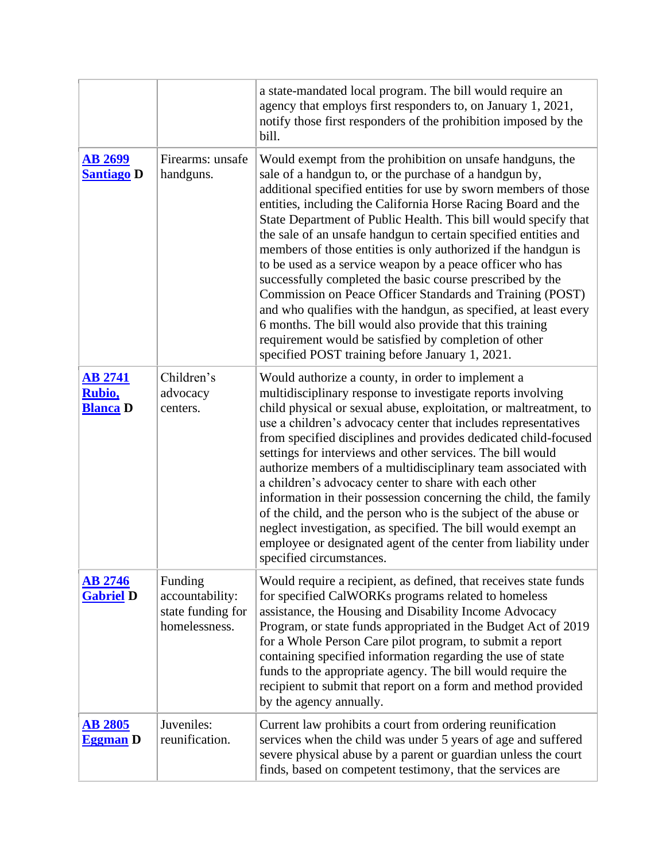|                                             |                                                                  | a state-mandated local program. The bill would require an<br>agency that employs first responders to, on January 1, 2021,<br>notify those first responders of the prohibition imposed by the<br>bill.                                                                                                                                                                                                                                                                                                                                                                                                                                                                                                                                                                                                                                                                                              |
|---------------------------------------------|------------------------------------------------------------------|----------------------------------------------------------------------------------------------------------------------------------------------------------------------------------------------------------------------------------------------------------------------------------------------------------------------------------------------------------------------------------------------------------------------------------------------------------------------------------------------------------------------------------------------------------------------------------------------------------------------------------------------------------------------------------------------------------------------------------------------------------------------------------------------------------------------------------------------------------------------------------------------------|
| <b>AB 2699</b><br><b>Santiago D</b>         | Firearms: unsafe<br>handguns.                                    | Would exempt from the prohibition on unsafe handguns, the<br>sale of a handgun to, or the purchase of a handgun by,<br>additional specified entities for use by sworn members of those<br>entities, including the California Horse Racing Board and the<br>State Department of Public Health. This bill would specify that<br>the sale of an unsafe handgun to certain specified entities and<br>members of those entities is only authorized if the handgun is<br>to be used as a service weapon by a peace officer who has<br>successfully completed the basic course prescribed by the<br>Commission on Peace Officer Standards and Training (POST)<br>and who qualifies with the handgun, as specified, at least every<br>6 months. The bill would also provide that this training<br>requirement would be satisfied by completion of other<br>specified POST training before January 1, 2021. |
| <b>AB 2741</b><br>Rubio,<br><b>Blanca</b> D | Children's<br>advocacy<br>centers.                               | Would authorize a county, in order to implement a<br>multidisciplinary response to investigate reports involving<br>child physical or sexual abuse, exploitation, or maltreatment, to<br>use a children's advocacy center that includes representatives<br>from specified disciplines and provides dedicated child-focused<br>settings for interviews and other services. The bill would<br>authorize members of a multidisciplinary team associated with<br>a children's advocacy center to share with each other<br>information in their possession concerning the child, the family<br>of the child, and the person who is the subject of the abuse or<br>neglect investigation, as specified. The bill would exempt an<br>employee or designated agent of the center from liability under<br>specified circumstances.                                                                          |
| <b>AB 2746</b><br><b>Gabriel D</b>          | Funding<br>accountability:<br>state funding for<br>homelessness. | Would require a recipient, as defined, that receives state funds<br>for specified CalWORKs programs related to homeless<br>assistance, the Housing and Disability Income Advocacy<br>Program, or state funds appropriated in the Budget Act of 2019<br>for a Whole Person Care pilot program, to submit a report<br>containing specified information regarding the use of state<br>funds to the appropriate agency. The bill would require the<br>recipient to submit that report on a form and method provided<br>by the agency annually.                                                                                                                                                                                                                                                                                                                                                         |
| <b>AB 2805</b><br><b>Eggman</b> D           | Juveniles:<br>reunification.                                     | Current law prohibits a court from ordering reunification<br>services when the child was under 5 years of age and suffered<br>severe physical abuse by a parent or guardian unless the court<br>finds, based on competent testimony, that the services are                                                                                                                                                                                                                                                                                                                                                                                                                                                                                                                                                                                                                                         |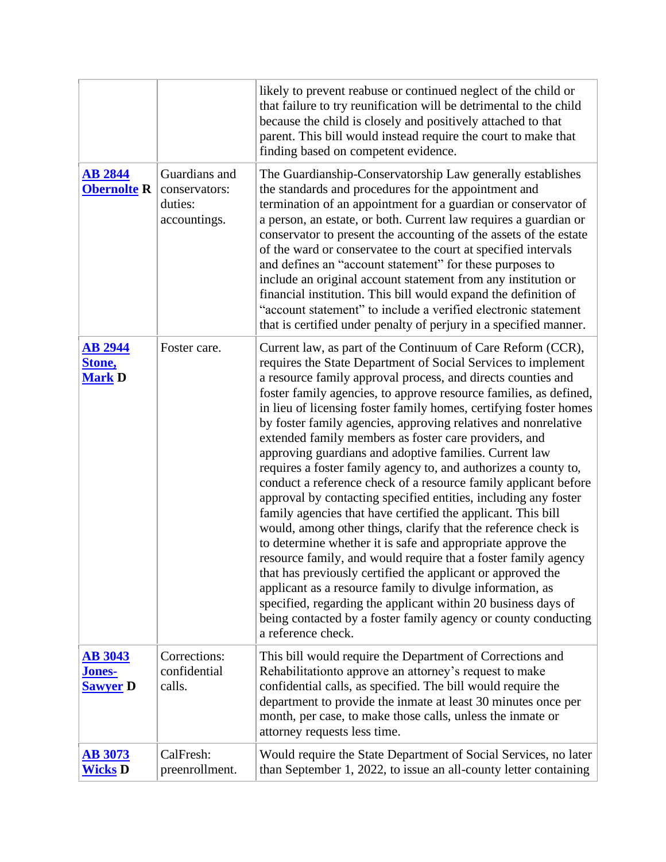|                                             |                                                           | likely to prevent reabuse or continued neglect of the child or<br>that failure to try reunification will be detrimental to the child<br>because the child is closely and positively attached to that<br>parent. This bill would instead require the court to make that<br>finding based on competent evidence.                                                                                                                                                                                                                                                                                                                                                                                                                                                                                                                                                                                                                                                                                                                                                                                                                                                                                                                                                                               |
|---------------------------------------------|-----------------------------------------------------------|----------------------------------------------------------------------------------------------------------------------------------------------------------------------------------------------------------------------------------------------------------------------------------------------------------------------------------------------------------------------------------------------------------------------------------------------------------------------------------------------------------------------------------------------------------------------------------------------------------------------------------------------------------------------------------------------------------------------------------------------------------------------------------------------------------------------------------------------------------------------------------------------------------------------------------------------------------------------------------------------------------------------------------------------------------------------------------------------------------------------------------------------------------------------------------------------------------------------------------------------------------------------------------------------|
| <b>AB 2844</b><br><b>Obernolte R</b>        | Guardians and<br>conservators:<br>duties:<br>accountings. | The Guardianship-Conservatorship Law generally establishes<br>the standards and procedures for the appointment and<br>termination of an appointment for a guardian or conservator of<br>a person, an estate, or both. Current law requires a guardian or<br>conservator to present the accounting of the assets of the estate<br>of the ward or conservatee to the court at specified intervals<br>and defines an "account statement" for these purposes to<br>include an original account statement from any institution or<br>financial institution. This bill would expand the definition of<br>"account statement" to include a verified electronic statement<br>that is certified under penalty of perjury in a specified manner.                                                                                                                                                                                                                                                                                                                                                                                                                                                                                                                                                       |
| <b>AB 2944</b><br>Stone,<br><b>Mark D</b>   | Foster care.                                              | Current law, as part of the Continuum of Care Reform (CCR),<br>requires the State Department of Social Services to implement<br>a resource family approval process, and directs counties and<br>foster family agencies, to approve resource families, as defined,<br>in lieu of licensing foster family homes, certifying foster homes<br>by foster family agencies, approving relatives and nonrelative<br>extended family members as foster care providers, and<br>approving guardians and adoptive families. Current law<br>requires a foster family agency to, and authorizes a county to,<br>conduct a reference check of a resource family applicant before<br>approval by contacting specified entities, including any foster<br>family agencies that have certified the applicant. This bill<br>would, among other things, clarify that the reference check is<br>to determine whether it is safe and appropriate approve the<br>resource family, and would require that a foster family agency<br>that has previously certified the applicant or approved the<br>applicant as a resource family to divulge information, as<br>specified, regarding the applicant within 20 business days of<br>being contacted by a foster family agency or county conducting<br>a reference check. |
| <b>AB 3043</b><br>Jones-<br><b>Sawyer D</b> | Corrections:<br>confidential<br>calls.                    | This bill would require the Department of Corrections and<br>Rehabilitationto approve an attorney's request to make<br>confidential calls, as specified. The bill would require the<br>department to provide the inmate at least 30 minutes once per<br>month, per case, to make those calls, unless the inmate or<br>attorney requests less time.                                                                                                                                                                                                                                                                                                                                                                                                                                                                                                                                                                                                                                                                                                                                                                                                                                                                                                                                           |
| <b>AB 3073</b><br><b>Wicks D</b>            | CalFresh:<br>preenrollment.                               | Would require the State Department of Social Services, no later<br>than September 1, 2022, to issue an all-county letter containing                                                                                                                                                                                                                                                                                                                                                                                                                                                                                                                                                                                                                                                                                                                                                                                                                                                                                                                                                                                                                                                                                                                                                          |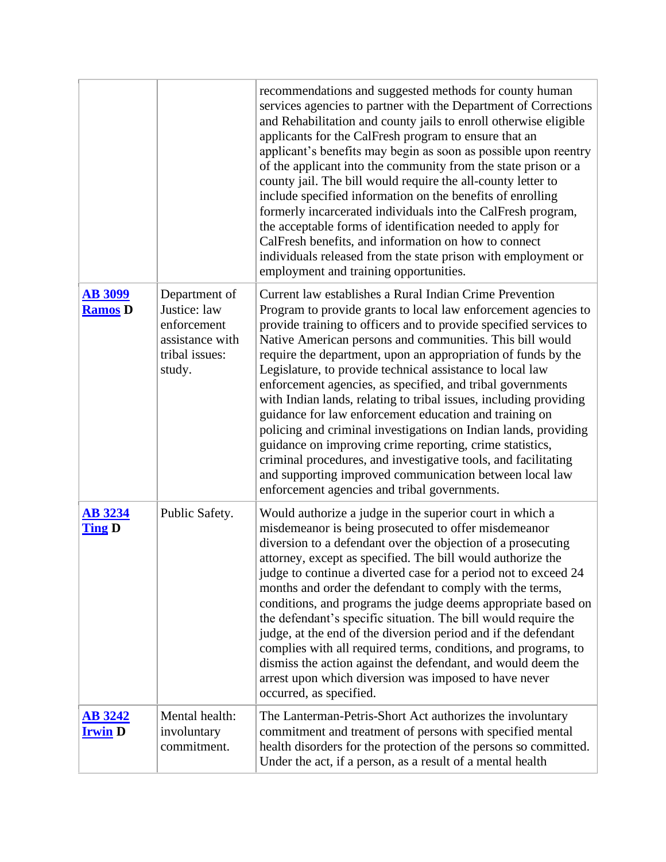|                                  |                                                                                             | recommendations and suggested methods for county human<br>services agencies to partner with the Department of Corrections<br>and Rehabilitation and county jails to enroll otherwise eligible<br>applicants for the CalFresh program to ensure that an<br>applicant's benefits may begin as soon as possible upon reentry<br>of the applicant into the community from the state prison or a<br>county jail. The bill would require the all-county letter to<br>include specified information on the benefits of enrolling<br>formerly incarcerated individuals into the CalFresh program,<br>the acceptable forms of identification needed to apply for<br>CalFresh benefits, and information on how to connect<br>individuals released from the state prison with employment or<br>employment and training opportunities.                                                                        |
|----------------------------------|---------------------------------------------------------------------------------------------|---------------------------------------------------------------------------------------------------------------------------------------------------------------------------------------------------------------------------------------------------------------------------------------------------------------------------------------------------------------------------------------------------------------------------------------------------------------------------------------------------------------------------------------------------------------------------------------------------------------------------------------------------------------------------------------------------------------------------------------------------------------------------------------------------------------------------------------------------------------------------------------------------|
| <b>AB 3099</b><br><b>Ramos</b> D | Department of<br>Justice: law<br>enforcement<br>assistance with<br>tribal issues:<br>study. | Current law establishes a Rural Indian Crime Prevention<br>Program to provide grants to local law enforcement agencies to<br>provide training to officers and to provide specified services to<br>Native American persons and communities. This bill would<br>require the department, upon an appropriation of funds by the<br>Legislature, to provide technical assistance to local law<br>enforcement agencies, as specified, and tribal governments<br>with Indian lands, relating to tribal issues, including providing<br>guidance for law enforcement education and training on<br>policing and criminal investigations on Indian lands, providing<br>guidance on improving crime reporting, crime statistics,<br>criminal procedures, and investigative tools, and facilitating<br>and supporting improved communication between local law<br>enforcement agencies and tribal governments. |
| <b>AB 3234</b><br><b>Ting D</b>  | Public Safety.                                                                              | Would authorize a judge in the superior court in which a<br>misdemeanor is being prosecuted to offer misdemeanor<br>diversion to a defendant over the objection of a prosecuting<br>attorney, except as specified. The bill would authorize the<br>judge to continue a diverted case for a period not to exceed 24<br>months and order the defendant to comply with the terms,<br>conditions, and programs the judge deems appropriate based on<br>the defendant's specific situation. The bill would require the<br>judge, at the end of the diversion period and if the defendant<br>complies with all required terms, conditions, and programs, to<br>dismiss the action against the defendant, and would deem the<br>arrest upon which diversion was imposed to have never<br>occurred, as specified.                                                                                         |
| <u>AB 3242</u><br><b>Irwin</b> D | Mental health:<br>involuntary<br>commitment.                                                | The Lanterman-Petris-Short Act authorizes the involuntary<br>commitment and treatment of persons with specified mental<br>health disorders for the protection of the persons so committed.<br>Under the act, if a person, as a result of a mental health                                                                                                                                                                                                                                                                                                                                                                                                                                                                                                                                                                                                                                          |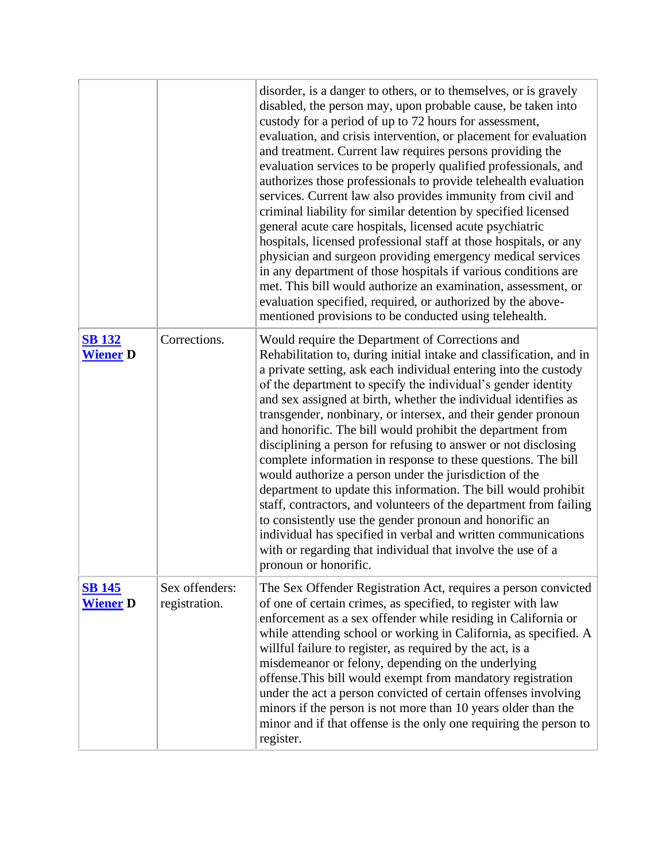|                                  |                                 | disorder, is a danger to others, or to themselves, or is gravely<br>disabled, the person may, upon probable cause, be taken into<br>custody for a period of up to 72 hours for assessment,<br>evaluation, and crisis intervention, or placement for evaluation<br>and treatment. Current law requires persons providing the<br>evaluation services to be properly qualified professionals, and<br>authorizes those professionals to provide telehealth evaluation<br>services. Current law also provides immunity from civil and<br>criminal liability for similar detention by specified licensed<br>general acute care hospitals, licensed acute psychiatric<br>hospitals, licensed professional staff at those hospitals, or any<br>physician and surgeon providing emergency medical services<br>in any department of those hospitals if various conditions are<br>met. This bill would authorize an examination, assessment, or<br>evaluation specified, required, or authorized by the above-<br>mentioned provisions to be conducted using telehealth. |
|----------------------------------|---------------------------------|---------------------------------------------------------------------------------------------------------------------------------------------------------------------------------------------------------------------------------------------------------------------------------------------------------------------------------------------------------------------------------------------------------------------------------------------------------------------------------------------------------------------------------------------------------------------------------------------------------------------------------------------------------------------------------------------------------------------------------------------------------------------------------------------------------------------------------------------------------------------------------------------------------------------------------------------------------------------------------------------------------------------------------------------------------------|
| <b>SB 132</b><br><b>Wiener D</b> | Corrections.                    | Would require the Department of Corrections and<br>Rehabilitation to, during initial intake and classification, and in<br>a private setting, ask each individual entering into the custody<br>of the department to specify the individual's gender identity<br>and sex assigned at birth, whether the individual identifies as<br>transgender, nonbinary, or intersex, and their gender pronoun<br>and honorific. The bill would prohibit the department from<br>disciplining a person for refusing to answer or not disclosing<br>complete information in response to these questions. The bill<br>would authorize a person under the jurisdiction of the<br>department to update this information. The bill would prohibit<br>staff, contractors, and volunteers of the department from failing<br>to consistently use the gender pronoun and honorific an<br>individual has specified in verbal and written communications<br>with or regarding that individual that involve the use of a<br>pronoun or honorific.                                         |
| <b>SB 145</b><br><b>Wiener</b> D | Sex offenders:<br>registration. | The Sex Offender Registration Act, requires a person convicted<br>of one of certain crimes, as specified, to register with law<br>enforcement as a sex offender while residing in California or<br>while attending school or working in California, as specified. A<br>willful failure to register, as required by the act, is a<br>misdemeanor or felony, depending on the underlying<br>offense. This bill would exempt from mandatory registration<br>under the act a person convicted of certain offenses involving<br>minors if the person is not more than 10 years older than the<br>minor and if that offense is the only one requiring the person to<br>register.                                                                                                                                                                                                                                                                                                                                                                                    |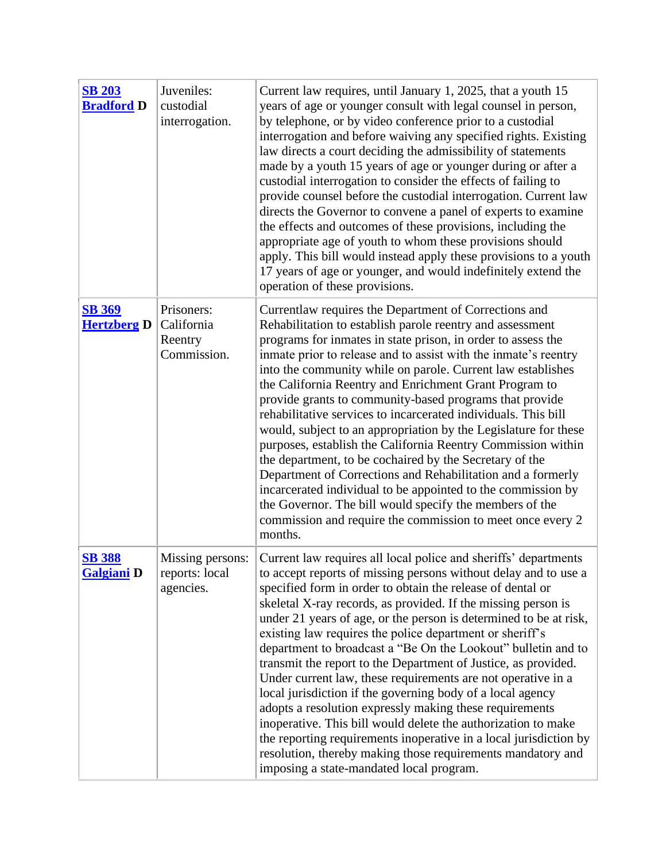| <b>SB 203</b><br><b>Bradford D</b>  | Juveniles:<br>custodial<br>interrogation.          | Current law requires, until January 1, 2025, that a youth 15<br>years of age or younger consult with legal counsel in person,<br>by telephone, or by video conference prior to a custodial<br>interrogation and before waiving any specified rights. Existing<br>law directs a court deciding the admissibility of statements<br>made by a youth 15 years of age or younger during or after a<br>custodial interrogation to consider the effects of failing to<br>provide counsel before the custodial interrogation. Current law<br>directs the Governor to convene a panel of experts to examine<br>the effects and outcomes of these provisions, including the<br>appropriate age of youth to whom these provisions should<br>apply. This bill would instead apply these provisions to a youth<br>17 years of age or younger, and would indefinitely extend the<br>operation of these provisions.                                                                            |
|-------------------------------------|----------------------------------------------------|---------------------------------------------------------------------------------------------------------------------------------------------------------------------------------------------------------------------------------------------------------------------------------------------------------------------------------------------------------------------------------------------------------------------------------------------------------------------------------------------------------------------------------------------------------------------------------------------------------------------------------------------------------------------------------------------------------------------------------------------------------------------------------------------------------------------------------------------------------------------------------------------------------------------------------------------------------------------------------|
| <b>SB 369</b><br><b>Hertzberg D</b> | Prisoners:<br>California<br>Reentry<br>Commission. | Currentlaw requires the Department of Corrections and<br>Rehabilitation to establish parole reentry and assessment<br>programs for inmates in state prison, in order to assess the<br>inmate prior to release and to assist with the inmate's reentry<br>into the community while on parole. Current law establishes<br>the California Reentry and Enrichment Grant Program to<br>provide grants to community-based programs that provide<br>rehabilitative services to incarcerated individuals. This bill<br>would, subject to an appropriation by the Legislature for these<br>purposes, establish the California Reentry Commission within<br>the department, to be cochaired by the Secretary of the<br>Department of Corrections and Rehabilitation and a formerly<br>incarcerated individual to be appointed to the commission by<br>the Governor. The bill would specify the members of the<br>commission and require the commission to meet once every 2<br>months.    |
| <b>SB 388</b><br><b>Galgiani</b> D  | Missing persons:<br>reports: local<br>agencies.    | Current law requires all local police and sheriffs' departments<br>to accept reports of missing persons without delay and to use a<br>specified form in order to obtain the release of dental or<br>skeletal X-ray records, as provided. If the missing person is<br>under 21 years of age, or the person is determined to be at risk,<br>existing law requires the police department or sheriff's<br>department to broadcast a "Be On the Lookout" bulletin and to<br>transmit the report to the Department of Justice, as provided.<br>Under current law, these requirements are not operative in a<br>local jurisdiction if the governing body of a local agency<br>adopts a resolution expressly making these requirements<br>inoperative. This bill would delete the authorization to make<br>the reporting requirements inoperative in a local jurisdiction by<br>resolution, thereby making those requirements mandatory and<br>imposing a state-mandated local program. |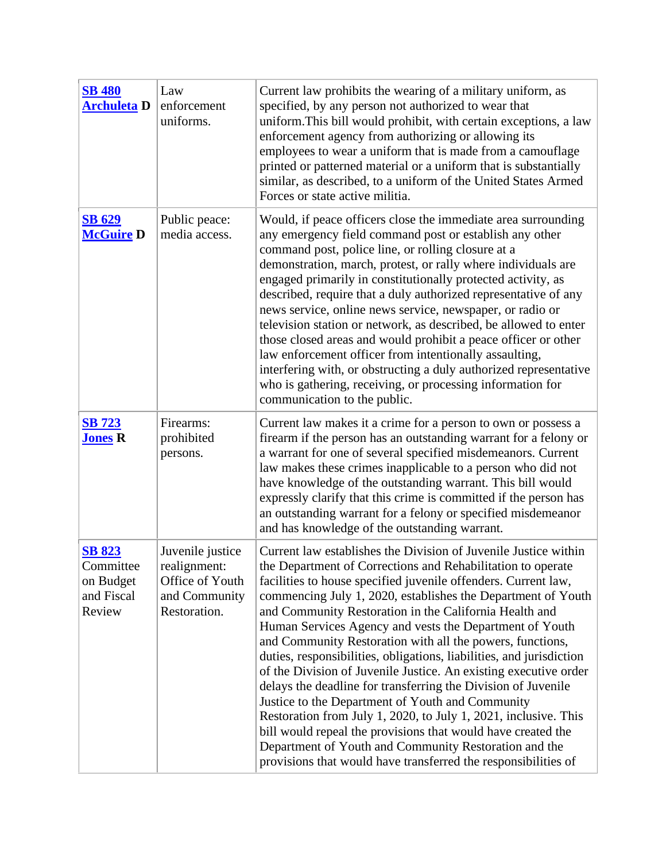| <b>SB 480</b><br><b>Archuleta</b> D                             | Law<br>enforcement<br>uniforms.                                                      | Current law prohibits the wearing of a military uniform, as<br>specified, by any person not authorized to wear that<br>uniform. This bill would prohibit, with certain exceptions, a law<br>enforcement agency from authorizing or allowing its<br>employees to wear a uniform that is made from a camouflage<br>printed or patterned material or a uniform that is substantially<br>similar, as described, to a uniform of the United States Armed<br>Forces or state active militia.                                                                                                                                                                                                                                                                                                                                                                                                                                                                                            |
|-----------------------------------------------------------------|--------------------------------------------------------------------------------------|-----------------------------------------------------------------------------------------------------------------------------------------------------------------------------------------------------------------------------------------------------------------------------------------------------------------------------------------------------------------------------------------------------------------------------------------------------------------------------------------------------------------------------------------------------------------------------------------------------------------------------------------------------------------------------------------------------------------------------------------------------------------------------------------------------------------------------------------------------------------------------------------------------------------------------------------------------------------------------------|
| <b>SB 629</b><br><b>McGuire D</b>                               | Public peace:<br>media access.                                                       | Would, if peace officers close the immediate area surrounding<br>any emergency field command post or establish any other<br>command post, police line, or rolling closure at a<br>demonstration, march, protest, or rally where individuals are<br>engaged primarily in constitutionally protected activity, as<br>described, require that a duly authorized representative of any<br>news service, online news service, newspaper, or radio or<br>television station or network, as described, be allowed to enter<br>those closed areas and would prohibit a peace officer or other<br>law enforcement officer from intentionally assaulting,<br>interfering with, or obstructing a duly authorized representative<br>who is gathering, receiving, or processing information for<br>communication to the public.                                                                                                                                                                |
| <b>SB 723</b><br><b>Jones R</b>                                 | Firearms:<br>prohibited<br>persons.                                                  | Current law makes it a crime for a person to own or possess a<br>firearm if the person has an outstanding warrant for a felony or<br>a warrant for one of several specified misdemeanors. Current<br>law makes these crimes inapplicable to a person who did not<br>have knowledge of the outstanding warrant. This bill would<br>expressly clarify that this crime is committed if the person has<br>an outstanding warrant for a felony or specified misdemeanor<br>and has knowledge of the outstanding warrant.                                                                                                                                                                                                                                                                                                                                                                                                                                                               |
| <b>SB 823</b><br>Committee<br>on Budget<br>and Fiscal<br>Review | Juvenile justice<br>realignment:<br>Office of Youth<br>and Community<br>Restoration. | Current law establishes the Division of Juvenile Justice within<br>the Department of Corrections and Rehabilitation to operate<br>facilities to house specified juvenile offenders. Current law,<br>commencing July 1, 2020, establishes the Department of Youth<br>and Community Restoration in the California Health and<br>Human Services Agency and vests the Department of Youth<br>and Community Restoration with all the powers, functions,<br>duties, responsibilities, obligations, liabilities, and jurisdiction<br>of the Division of Juvenile Justice. An existing executive order<br>delays the deadline for transferring the Division of Juvenile<br>Justice to the Department of Youth and Community<br>Restoration from July 1, 2020, to July 1, 2021, inclusive. This<br>bill would repeal the provisions that would have created the<br>Department of Youth and Community Restoration and the<br>provisions that would have transferred the responsibilities of |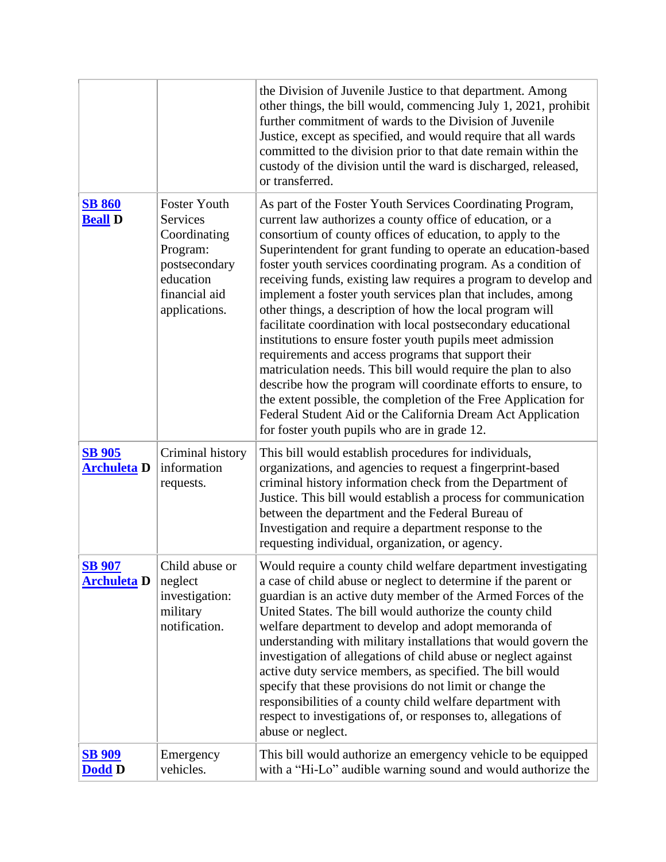|                                     |                                                                                                                             | the Division of Juvenile Justice to that department. Among<br>other things, the bill would, commencing July 1, 2021, prohibit<br>further commitment of wards to the Division of Juvenile<br>Justice, except as specified, and would require that all wards<br>committed to the division prior to that date remain within the<br>custody of the division until the ward is discharged, released,<br>or transferred.                                                                                                                                                                                                                                                                                                                                                                                                                                                                                                                                                                                                               |
|-------------------------------------|-----------------------------------------------------------------------------------------------------------------------------|----------------------------------------------------------------------------------------------------------------------------------------------------------------------------------------------------------------------------------------------------------------------------------------------------------------------------------------------------------------------------------------------------------------------------------------------------------------------------------------------------------------------------------------------------------------------------------------------------------------------------------------------------------------------------------------------------------------------------------------------------------------------------------------------------------------------------------------------------------------------------------------------------------------------------------------------------------------------------------------------------------------------------------|
| <b>SB 860</b><br><b>Beall D</b>     | Foster Youth<br><b>Services</b><br>Coordinating<br>Program:<br>postsecondary<br>education<br>financial aid<br>applications. | As part of the Foster Youth Services Coordinating Program,<br>current law authorizes a county office of education, or a<br>consortium of county offices of education, to apply to the<br>Superintendent for grant funding to operate an education-based<br>foster youth services coordinating program. As a condition of<br>receiving funds, existing law requires a program to develop and<br>implement a foster youth services plan that includes, among<br>other things, a description of how the local program will<br>facilitate coordination with local postsecondary educational<br>institutions to ensure foster youth pupils meet admission<br>requirements and access programs that support their<br>matriculation needs. This bill would require the plan to also<br>describe how the program will coordinate efforts to ensure, to<br>the extent possible, the completion of the Free Application for<br>Federal Student Aid or the California Dream Act Application<br>for foster youth pupils who are in grade 12. |
| <b>SB 905</b><br><b>Archuleta D</b> | Criminal history<br>information<br>requests.                                                                                | This bill would establish procedures for individuals,<br>organizations, and agencies to request a fingerprint-based<br>criminal history information check from the Department of<br>Justice. This bill would establish a process for communication<br>between the department and the Federal Bureau of<br>Investigation and require a department response to the<br>requesting individual, organization, or agency.                                                                                                                                                                                                                                                                                                                                                                                                                                                                                                                                                                                                              |
| <b>SB 907</b><br><b>Archuleta</b> D | Child abuse or<br>neglect<br>investigation:<br>military<br>notification.                                                    | Would require a county child welfare department investigating<br>a case of child abuse or neglect to determine if the parent or<br>guardian is an active duty member of the Armed Forces of the<br>United States. The bill would authorize the county child<br>welfare department to develop and adopt memoranda of<br>understanding with military installations that would govern the<br>investigation of allegations of child abuse or neglect against<br>active duty service members, as specified. The bill would<br>specify that these provisions do not limit or change the<br>responsibilities of a county child welfare department with<br>respect to investigations of, or responses to, allegations of<br>abuse or neglect.                                                                                                                                                                                                                                                                                            |
| <b>SB 909</b><br><b>Dodd D</b>      | Emergency<br>vehicles.                                                                                                      | This bill would authorize an emergency vehicle to be equipped<br>with a "Hi-Lo" audible warning sound and would authorize the                                                                                                                                                                                                                                                                                                                                                                                                                                                                                                                                                                                                                                                                                                                                                                                                                                                                                                    |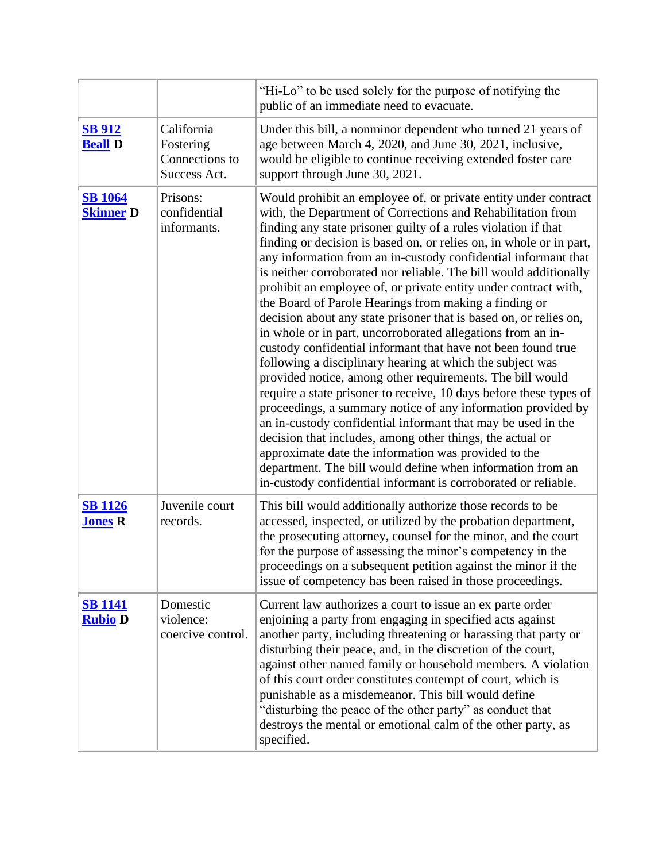|                                    |                                                           | "Hi-Lo" to be used solely for the purpose of notifying the<br>public of an immediate need to evacuate.                                                                                                                                                                                                                                                                                                                                                                                                                                                                                                                                                                                                                                                                                                                                                                                                                                                                                                                                                                                                                                                                                                                                                                                                                              |
|------------------------------------|-----------------------------------------------------------|-------------------------------------------------------------------------------------------------------------------------------------------------------------------------------------------------------------------------------------------------------------------------------------------------------------------------------------------------------------------------------------------------------------------------------------------------------------------------------------------------------------------------------------------------------------------------------------------------------------------------------------------------------------------------------------------------------------------------------------------------------------------------------------------------------------------------------------------------------------------------------------------------------------------------------------------------------------------------------------------------------------------------------------------------------------------------------------------------------------------------------------------------------------------------------------------------------------------------------------------------------------------------------------------------------------------------------------|
| <b>SB 912</b><br><b>Beall D</b>    | California<br>Fostering<br>Connections to<br>Success Act. | Under this bill, a nonminor dependent who turned 21 years of<br>age between March 4, 2020, and June 30, 2021, inclusive,<br>would be eligible to continue receiving extended foster care<br>support through June 30, 2021.                                                                                                                                                                                                                                                                                                                                                                                                                                                                                                                                                                                                                                                                                                                                                                                                                                                                                                                                                                                                                                                                                                          |
| <b>SB 1064</b><br><b>Skinner D</b> | Prisons:<br>confidential<br>informants.                   | Would prohibit an employee of, or private entity under contract<br>with, the Department of Corrections and Rehabilitation from<br>finding any state prisoner guilty of a rules violation if that<br>finding or decision is based on, or relies on, in whole or in part,<br>any information from an in-custody confidential informant that<br>is neither corroborated nor reliable. The bill would additionally<br>prohibit an employee of, or private entity under contract with,<br>the Board of Parole Hearings from making a finding or<br>decision about any state prisoner that is based on, or relies on,<br>in whole or in part, uncorroborated allegations from an in-<br>custody confidential informant that have not been found true<br>following a disciplinary hearing at which the subject was<br>provided notice, among other requirements. The bill would<br>require a state prisoner to receive, 10 days before these types of<br>proceedings, a summary notice of any information provided by<br>an in-custody confidential informant that may be used in the<br>decision that includes, among other things, the actual or<br>approximate date the information was provided to the<br>department. The bill would define when information from an<br>in-custody confidential informant is corroborated or reliable. |
| <b>SB 1126</b><br><b>Jones R</b>   | Juvenile court<br>records.                                | This bill would additionally authorize those records to be<br>accessed, inspected, or utilized by the probation department,<br>the prosecuting attorney, counsel for the minor, and the court<br>for the purpose of assessing the minor's competency in the<br>proceedings on a subsequent petition against the minor if the<br>issue of competency has been raised in those proceedings.                                                                                                                                                                                                                                                                                                                                                                                                                                                                                                                                                                                                                                                                                                                                                                                                                                                                                                                                           |
| <b>SB 1141</b><br><b>Rubio D</b>   | Domestic<br>violence:<br>coercive control.                | Current law authorizes a court to issue an ex parte order<br>enjoining a party from engaging in specified acts against<br>another party, including threatening or harassing that party or<br>disturbing their peace, and, in the discretion of the court,<br>against other named family or household members. A violation<br>of this court order constitutes contempt of court, which is<br>punishable as a misdemeanor. This bill would define<br>"disturbing the peace of the other party" as conduct that<br>destroys the mental or emotional calm of the other party, as<br>specified.                                                                                                                                                                                                                                                                                                                                                                                                                                                                                                                                                                                                                                                                                                                                          |